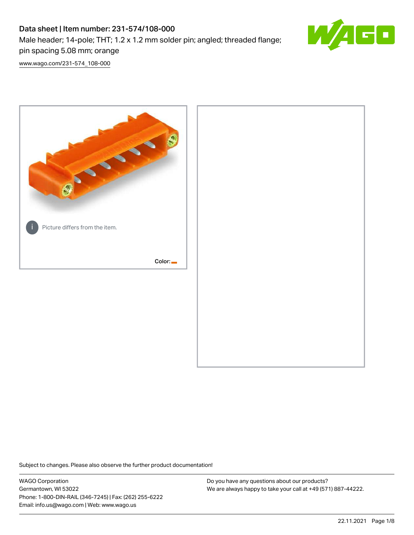# Data sheet | Item number: 231-574/108-000 Male header; 14-pole; THT; 1.2 x 1.2 mm solder pin; angled; threaded flange; pin spacing 5.08 mm; orange



[www.wago.com/231-574\\_108-000](http://www.wago.com/231-574_108-000)



Subject to changes. Please also observe the further product documentation!

WAGO Corporation Germantown, WI 53022 Phone: 1-800-DIN-RAIL (346-7245) | Fax: (262) 255-6222 Email: info.us@wago.com | Web: www.wago.us

Do you have any questions about our products? We are always happy to take your call at +49 (571) 887-44222.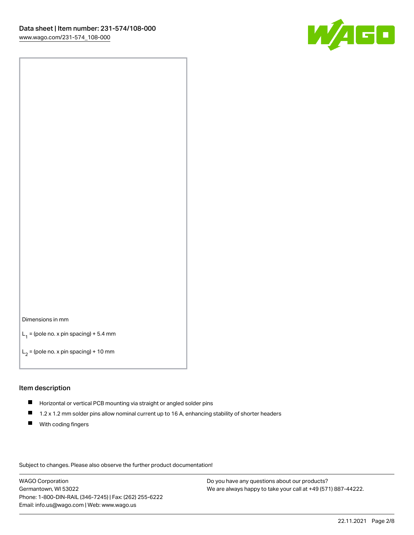

#### Dimensions in mm

 $L_1$  = (pole no. x pin spacing) + 5.4 mm

 $L_2$  = (pole no. x pin spacing) + 10 mm

### Item description

- Horizontal or vertical PCB mounting via straight or angled solder pins
- $\blacksquare$ 1.2 x 1.2 mm solder pins allow nominal current up to 16 A, enhancing stability of shorter headers
- **With coding fingers**

Subject to changes. Please also observe the further product documentation!

WAGO Corporation Germantown, WI 53022 Phone: 1-800-DIN-RAIL (346-7245) | Fax: (262) 255-6222 Email: info.us@wago.com | Web: www.wago.us

Do you have any questions about our products? We are always happy to take your call at +49 (571) 887-44222.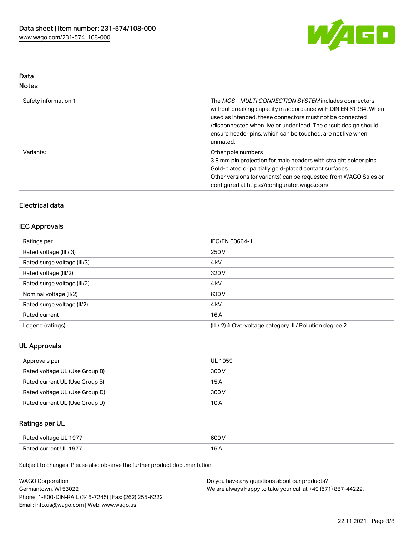

# Data Notes

| Safety information 1 | The <i>MCS – MULTI CONNECTION SYSTEM</i> includes connectors<br>without breaking capacity in accordance with DIN EN 61984. When<br>used as intended, these connectors must not be connected<br>/disconnected when live or under load. The circuit design should<br>ensure header pins, which can be touched, are not live when<br>unmated. |
|----------------------|--------------------------------------------------------------------------------------------------------------------------------------------------------------------------------------------------------------------------------------------------------------------------------------------------------------------------------------------|
| Variants:            | Other pole numbers<br>3.8 mm pin projection for male headers with straight solder pins<br>Gold-plated or partially gold-plated contact surfaces<br>Other versions (or variants) can be requested from WAGO Sales or<br>configured at https://configurator.wago.com/                                                                        |

# Electrical data

# IEC Approvals

| Ratings per                 | IEC/EN 60664-1                                            |
|-----------------------------|-----------------------------------------------------------|
| Rated voltage (III / 3)     | 250 V                                                     |
| Rated surge voltage (III/3) | 4 <sub>k</sub> V                                          |
| Rated voltage (III/2)       | 320 V                                                     |
| Rated surge voltage (III/2) | 4 <sub>k</sub> V                                          |
| Nominal voltage (II/2)      | 630 V                                                     |
| Rated surge voltage (II/2)  | 4 <sub>k</sub> V                                          |
| Rated current               | 16A                                                       |
| Legend (ratings)            | (III / 2) ≙ Overvoltage category III / Pollution degree 2 |

# UL Approvals

| Approvals per                  | UL 1059 |
|--------------------------------|---------|
| Rated voltage UL (Use Group B) | 300 V   |
| Rated current UL (Use Group B) | 15 A    |
| Rated voltage UL (Use Group D) | 300 V   |
| Rated current UL (Use Group D) | 10 A    |

# Ratings per UL

| Rated voltage UL 1977 | 500 V |
|-----------------------|-------|
| Rated current UL 1977 |       |

| <b>WAGO Corporation</b>                                | Do you have any questions about our products?                 |
|--------------------------------------------------------|---------------------------------------------------------------|
| Germantown, WI 53022                                   | We are always happy to take your call at +49 (571) 887-44222. |
| Phone: 1-800-DIN-RAIL (346-7245)   Fax: (262) 255-6222 |                                                               |
| Email: info.us@wago.com   Web: www.wago.us             |                                                               |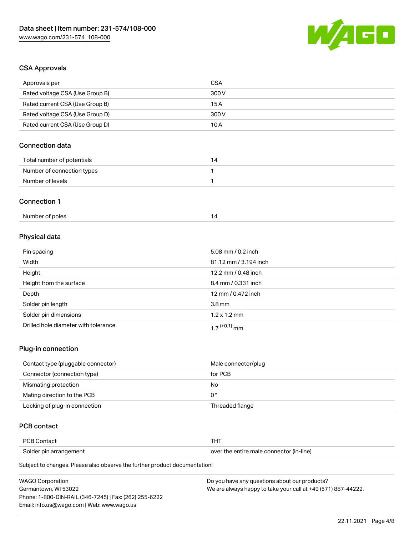

# CSA Approvals

| Approvals per                   | <b>CSA</b>            |
|---------------------------------|-----------------------|
| Rated voltage CSA (Use Group B) | 300V                  |
| Rated current CSA (Use Group B) | 15 A                  |
| Rated voltage CSA (Use Group D) | 300V                  |
| Rated current CSA (Use Group D) | 10A                   |
| <b>Connection data</b>          |                       |
| Total number of potentials      | 14                    |
| Number of connection types      | $\mathbf{1}$          |
| Number of levels                | $\mathbf{1}$          |
| <b>Connection 1</b>             |                       |
| Number of poles                 | 14                    |
| Physical data                   |                       |
| Pin spacing                     | 5.08 mm / 0.2 inch    |
| Width                           | 81.12 mm / 3.194 inch |
| Height                          | 12.2 mm / 0.48 inch   |

| Height                               | 12.2 mm / 0.48 inch        |
|--------------------------------------|----------------------------|
| Height from the surface              | 8.4 mm / 0.331 inch        |
| Depth                                | 12 mm / 0.472 inch         |
| Solder pin length                    | 3.8 <sub>mm</sub>          |
| Solder pin dimensions                | $1.2 \times 1.2$ mm        |
| Drilled hole diameter with tolerance | $1.7$ <sup>(+0.1)</sup> mm |

# Plug-in connection

| Contact type (pluggable connector) | Male connector/plug |
|------------------------------------|---------------------|
| Connector (connection type)        | for PCB             |
| Mismating protection               | No                  |
| Mating direction to the PCB        | 0°                  |
| Locking of plug-in connection      | Threaded flange     |

# PCB contact

| <b>PCB Contact</b>     | 1 O I                                    |
|------------------------|------------------------------------------|
| Solder pin arrangement | over the entire male connector (in-line) |

| <b>WAGO Corporation</b>                                | Do you have any questions about our products?                 |
|--------------------------------------------------------|---------------------------------------------------------------|
| Germantown, WI 53022                                   | We are always happy to take your call at +49 (571) 887-44222. |
| Phone: 1-800-DIN-RAIL (346-7245)   Fax: (262) 255-6222 |                                                               |
| Email: info.us@wago.com   Web: www.wago.us             |                                                               |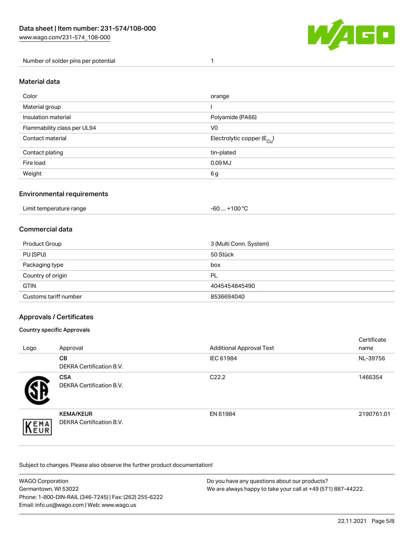

Number of solder pins per potential 1

# Material data

| Color                       | orange                                 |
|-----------------------------|----------------------------------------|
| Material group              |                                        |
| Insulation material         | Polyamide (PA66)                       |
| Flammability class per UL94 | V <sub>0</sub>                         |
| Contact material            | Electrolytic copper (E <sub>Cu</sub> ) |
| Contact plating             | tin-plated                             |
| Fire load                   | 0.09 <sub>MJ</sub>                     |
| Weight                      | 6g                                     |

## Environmental requirements

Limit temperature range  $-60...+100 °C$ 

## Commercial data

| Product Group         | 3 (Multi Conn. System) |
|-----------------------|------------------------|
| PU (SPU)              | 50 Stück               |
| Packaging type        | box                    |
| Country of origin     | PL                     |
| <b>GTIN</b>           | 4045454845490          |
| Customs tariff number | 8536694040             |

## Approvals / Certificates

#### Country specific Approvals

| Logo                | Approval                                            | <b>Additional Approval Text</b> | Certificate<br>name |
|---------------------|-----------------------------------------------------|---------------------------------|---------------------|
|                     | <b>CB</b><br><b>DEKRA Certification B.V.</b>        | IEC 61984                       | NL-39756            |
|                     | <b>CSA</b><br>DEKRA Certification B.V.              | C <sub>22.2</sub>               | 1466354             |
| EMA<br><b>INEUR</b> | <b>KEMA/KEUR</b><br><b>DEKRA Certification B.V.</b> | EN 61984                        | 2190761.01          |

| WAGO Corporation                                       | Do you have any questions about our products?                 |
|--------------------------------------------------------|---------------------------------------------------------------|
| Germantown. WI 53022                                   | We are always happy to take your call at +49 (571) 887-44222. |
| Phone: 1-800-DIN-RAIL (346-7245)   Fax: (262) 255-6222 |                                                               |
| Email: info.us@wago.com   Web: www.wago.us             |                                                               |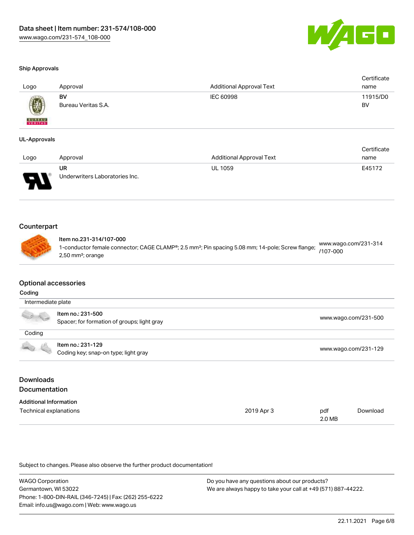

### Ship Approvals

| Logo          | Approval            | <b>Additional Approval Text</b> | Certificate<br>name |
|---------------|---------------------|---------------------------------|---------------------|
|               | BV                  | IEC 60998                       | 11915/D0            |
| <b>BUREAU</b> | Bureau Veritas S.A. |                                 | BV                  |

#### UL-Approvals

|      |                                |                                 | Certificate |
|------|--------------------------------|---------------------------------|-------------|
| Logo | Approval                       | <b>Additional Approval Text</b> | name        |
|      | UR                             | <b>UL 1059</b>                  | E45172      |
| J    | Underwriters Laboratories Inc. |                                 |             |

# **Counterpart**

# Item no.231-314/107-000

1-conductor female connector; CAGE CLAMP®; 2.5 mm²; Pin spacing 5.08 mm; 14-pole; Screw flange; 2,50 mm²; orange [www.wago.com/231-314](https://www.wago.com/231-314/107-000) [/107-000](https://www.wago.com/231-314/107-000)

## Optional accessories

#### Coding

| Intermediate plate                                                                                                                                                                                                                   |                                                                  |                      |
|--------------------------------------------------------------------------------------------------------------------------------------------------------------------------------------------------------------------------------------|------------------------------------------------------------------|----------------------|
|                                                                                                                                                                                                                                      | Item no.: 231-500<br>Spacer; for formation of groups; light gray | www.wago.com/231-500 |
| Coding                                                                                                                                                                                                                               |                                                                  |                      |
| <b>Contract Contract Contract Contract Contract Contract Contract Contract Contract Contract Contract Contract Contract Contract Contract Contract Contract Contract Contract Contract Contract Contract Contract Contract Contr</b> | Item no.: 231-129<br>Coding key; snap-on type; light gray        | www.wago.com/231-129 |

# Downloads Documentation

| <b>Additional Information</b> |            |        |          |
|-------------------------------|------------|--------|----------|
| Technical explanations        | 2019 Apr 3 | pdf    | Download |
|                               |            | 2.0 MB |          |

| <b>WAGO Corporation</b>                                | Do you have any questions about our products?                 |
|--------------------------------------------------------|---------------------------------------------------------------|
| Germantown, WI 53022                                   | We are always happy to take your call at +49 (571) 887-44222. |
| Phone: 1-800-DIN-RAIL (346-7245)   Fax: (262) 255-6222 |                                                               |
| Email: info.us@wago.com   Web: www.wago.us             |                                                               |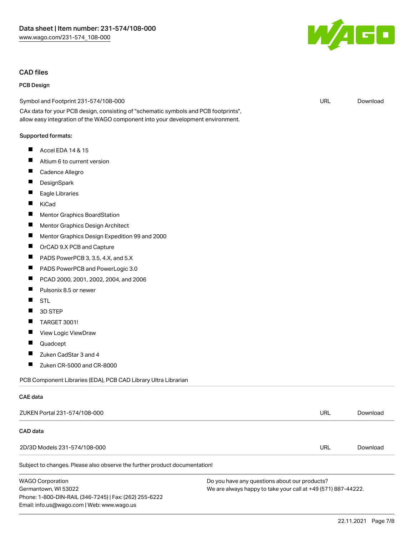## CAD files

## PCB Design

Symbol and Footprint 231-574/108-000

CAx data for your PCB design, consisting of "schematic symbols and PCB footprints", allow easy integration of the WAGO component into your development environment.

#### Supported formats:

- $\blacksquare$ Accel EDA 14 & 15
- $\blacksquare$ Altium 6 to current version
- $\blacksquare$ Cadence Allegro
- $\blacksquare$ **DesignSpark**
- $\blacksquare$ Eagle Libraries
- $\blacksquare$ KiCad
- $\blacksquare$ Mentor Graphics BoardStation
- $\blacksquare$ Mentor Graphics Design Architect
- $\blacksquare$ Mentor Graphics Design Expedition 99 and 2000
- $\blacksquare$ OrCAD 9.X PCB and Capture
- $\blacksquare$ PADS PowerPCB 3, 3.5, 4.X, and 5.X
- $\blacksquare$ PADS PowerPCB and PowerLogic 3.0
- $\blacksquare$ PCAD 2000, 2001, 2002, 2004, and 2006
- $\blacksquare$ Pulsonix 8.5 or newer
- $\blacksquare$ STL
- $\blacksquare$ 3D STEP
- $\blacksquare$ TARGET 3001!
- П View Logic ViewDraw
- $\blacksquare$ Quadcept

CAE data

- $\blacksquare$ Zuken CadStar 3 and 4
- $\blacksquare$ Zuken CR-5000 and CR-8000

Email: info.us@wago.com | Web: www.wago.us

PCB Component Libraries (EDA), PCB CAD Library Ultra Librarian

| ZUKEN Portal 231-574/108-000                                               |                                                               | URL | Download |
|----------------------------------------------------------------------------|---------------------------------------------------------------|-----|----------|
| CAD data                                                                   |                                                               |     |          |
| 2D/3D Models 231-574/108-000                                               |                                                               | URL | Download |
| Subject to changes. Please also observe the further product documentation! |                                                               |     |          |
| <b>WAGO Corporation</b>                                                    | Do you have any questions about our products?                 |     |          |
| Germantown, WI 53022                                                       | We are always happy to take your call at +49 (571) 887-44222. |     |          |
| Phone: 1-800-DIN-RAIL (346-7245)   Fax: (262) 255-6222                     |                                                               |     |          |



URL [Download](https://www.wago.com/global/d/UltraLibrarian_URLS_231-574_108-000)

22.11.2021 Page 7/8